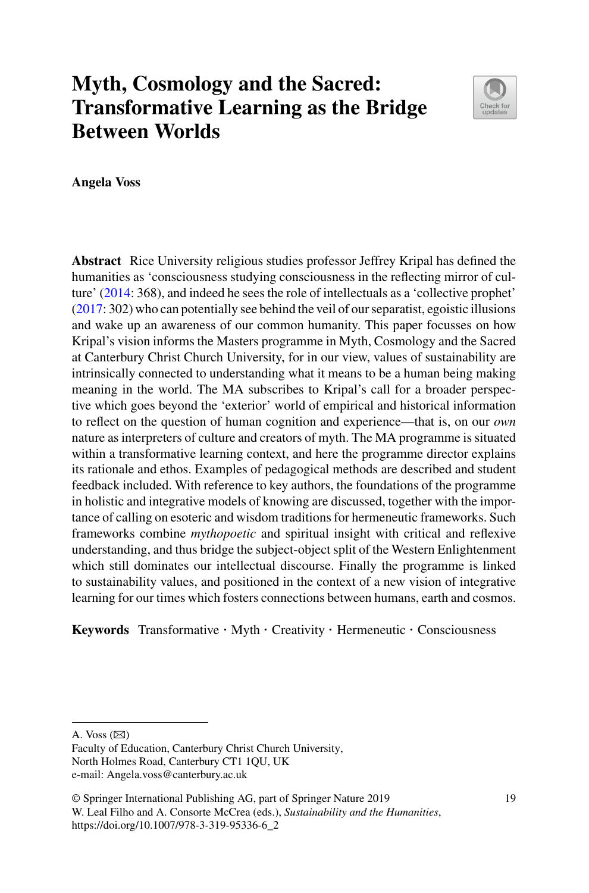# **Myth, Cosmology and the Sacred: Transformative Learning as the Bridge Between Worlds**



**Angela Voss**

**Abstract** Rice University religious studies professor Jeffrey Kripal has defined the humanities as 'consciousness studying consciousness in the reflecting mirror of culture' [\(2014:](#page-13-0) 368), and indeed he sees the role of intellectuals as a 'collective prophet' [\(2017:](#page-13-1) 302) who can potentially see behind the veil of our separatist, egoistic illusions and wake up an awareness of our common humanity. This paper focusses on how Kripal's vision informs the Masters programme in Myth, Cosmology and the Sacred at Canterbury Christ Church University, for in our view, values of sustainability are intrinsically connected to understanding what it means to be a human being making meaning in the world. The MA subscribes to Kripal's call for a broader perspective which goes beyond the 'exterior' world of empirical and historical information to reflect on the question of human cognition and experience—that is, on our *own* nature as interpreters of culture and creators of myth. The MA programme is situated within a transformative learning context, and here the programme director explains its rationale and ethos. Examples of pedagogical methods are described and student feedback included. With reference to key authors, the foundations of the programme in holistic and integrative models of knowing are discussed, together with the importance of calling on esoteric and wisdom traditions for hermeneutic frameworks. Such frameworks combine *mythopoetic* and spiritual insight with critical and reflexive understanding, and thus bridge the subject-object split of the Western Enlightenment which still dominates our intellectual discourse. Finally the programme is linked to sustainability values, and positioned in the context of a new vision of integrative learning for our times which fosters connections between humans, earth and cosmos.

**Keywords** Transformative · Myth · Creativity · Hermeneutic · Consciousness

A. Voss  $(\boxtimes)$ 

Faculty of Education, Canterbury Christ Church University, North Holmes Road, Canterbury CT1 1QU, UK e-mail: Angela.voss@canterbury.ac.uk

<sup>©</sup> Springer International Publishing AG, part of Springer Nature 2019 W. Leal Filho and A. Consorte McCrea (eds.), *Sustainability and the Humanities*, https://doi.org/10.1007/978-3-319-95336-6\_2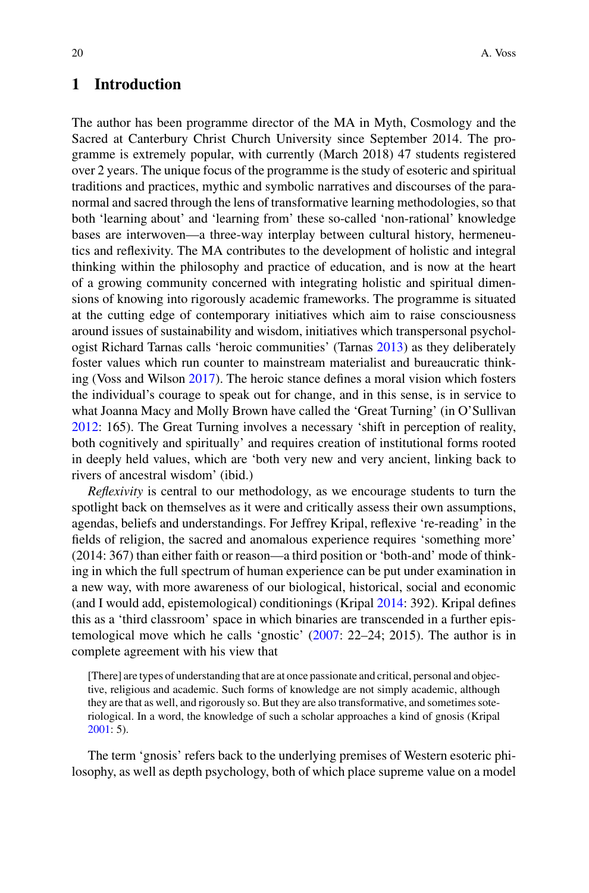## **1 Introduction**

The author has been programme director of the MA in Myth, Cosmology and the Sacred at Canterbury Christ Church University since September 2014. The programme is extremely popular, with currently (March 2018) 47 students registered over 2 years. The unique focus of the programme is the study of esoteric and spiritual traditions and practices, mythic and symbolic narratives and discourses of the paranormal and sacred through the lens of transformative learning methodologies, so that both 'learning about' and 'learning from' these so-called 'non-rational' knowledge bases are interwoven—a three-way interplay between cultural history, hermeneutics and reflexivity. The MA contributes to the development of holistic and integral thinking within the philosophy and practice of education, and is now at the heart of a growing community concerned with integrating holistic and spiritual dimensions of knowing into rigorously academic frameworks. The programme is situated at the cutting edge of contemporary initiatives which aim to raise consciousness around issues of sustainability and wisdom, initiatives which transpersonal psychologist Richard Tarnas calls 'heroic communities' (Tarnas [2013\)](#page-14-0) as they deliberately foster values which run counter to mainstream materialist and bureaucratic thinking (Voss and Wilson [2017\)](#page-14-1). The heroic stance defines a moral vision which fosters the individual's courage to speak out for change, and in this sense, is in service to what Joanna Macy and Molly Brown have called the 'Great Turning' (in O'Sullivan [2012:](#page-13-2) 165). The Great Turning involves a necessary 'shift in perception of reality, both cognitively and spiritually' and requires creation of institutional forms rooted in deeply held values, which are 'both very new and very ancient, linking back to rivers of ancestral wisdom' (ibid.)

*Reflexivity* is central to our methodology, as we encourage students to turn the spotlight back on themselves as it were and critically assess their own assumptions, agendas, beliefs and understandings. For Jeffrey Kripal, reflexive 're-reading' in the fields of religion, the sacred and anomalous experience requires 'something more' (2014: 367) than either faith or reason—a third position or 'both-and' mode of thinking in which the full spectrum of human experience can be put under examination in a new way, with more awareness of our biological, historical, social and economic (and I would add, epistemological) conditionings (Kripal [2014:](#page-13-0) 392). Kripal defines this as a 'third classroom' space in which binaries are transcended in a further epistemological move which he calls 'gnostic' [\(2007:](#page-13-3) 22–24; 2015). The author is in complete agreement with his view that

[There] are types of understanding that are at once passionate and critical, personal and objective, religious and academic. Such forms of knowledge are not simply academic, although they are that as well, and rigorously so. But they are also transformative, and sometimes soteriological. In a word, the knowledge of such a scholar approaches a kind of gnosis (Kripal [2001:](#page-13-4) 5).

The term 'gnosis' refers back to the underlying premises of Western esoteric philosophy, as well as depth psychology, both of which place supreme value on a model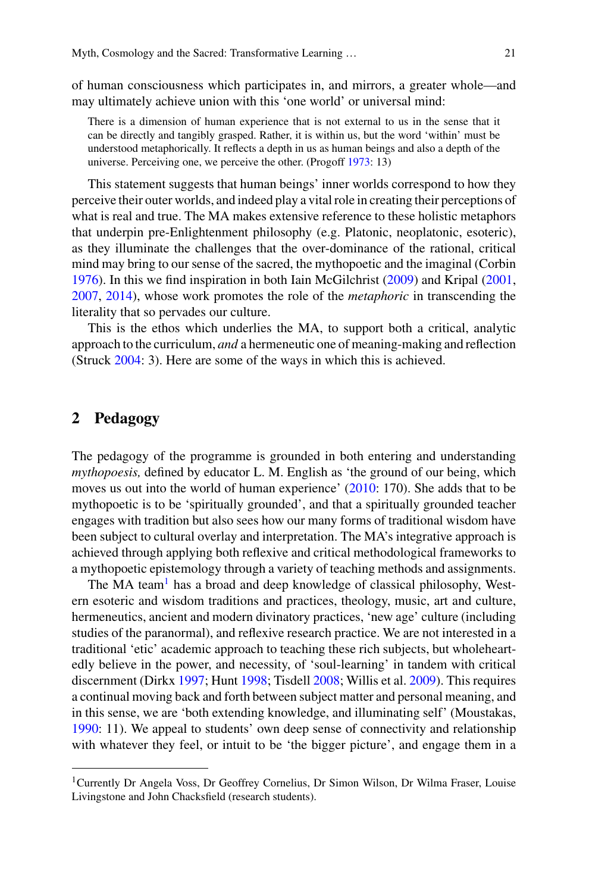of human consciousness which participates in, and mirrors, a greater whole—and may ultimately achieve union with this 'one world' or universal mind:

There is a dimension of human experience that is not external to us in the sense that it can be directly and tangibly grasped. Rather, it is within us, but the word 'within' must be understood metaphorically. It reflects a depth in us as human beings and also a depth of the universe. Perceiving one, we perceive the other. (Progoff [1973:](#page-13-5) 13)

This statement suggests that human beings' inner worlds correspond to how they perceive their outer worlds, and indeed play a vital role in creating their perceptions of what is real and true. The MA makes extensive reference to these holistic metaphors that underpin pre-Enlightenment philosophy (e.g. Platonic, neoplatonic, esoteric), as they illuminate the challenges that the over-dominance of the rational, critical mind may bring to our sense of the sacred, the mythopoetic and the imaginal (Corbin [1976\)](#page-13-6). In this we find inspiration in both Iain McGilchrist [\(2009\)](#page-13-7) and Kripal [\(2001,](#page-13-4) [2007,](#page-13-3) [2014\)](#page-13-0), whose work promotes the role of the *metaphoric* in transcending the literality that so pervades our culture.

This is the ethos which underlies the MA, to support both a critical, analytic approach to the curriculum, *and* a hermeneutic one of meaning-making and reflection (Struck [2004:](#page-13-8) 3). Here are some of the ways in which this is achieved.

#### **2 Pedagogy**

The pedagogy of the programme is grounded in both entering and understanding *mythopoesis,* defined by educator L. M. English as 'the ground of our being, which moves us out into the world of human experience' [\(2010:](#page-13-9) 170). She adds that to be mythopoetic is to be 'spiritually grounded', and that a spiritually grounded teacher engages with tradition but also sees how our many forms of traditional wisdom have been subject to cultural overlay and interpretation. The MA's integrative approach is achieved through applying both reflexive and critical methodological frameworks to a mythopoetic epistemology through a variety of teaching methods and assignments.

The MA team<sup>1</sup> has a broad and deep knowledge of classical philosophy, Western esoteric and wisdom traditions and practices, theology, music, art and culture, hermeneutics, ancient and modern divinatory practices, 'new age' culture (including studies of the paranormal), and reflexive research practice. We are not interested in a traditional 'etic' academic approach to teaching these rich subjects, but wholeheartedly believe in the power, and necessity, of 'soul-learning' in tandem with critical discernment (Dirkx [1997;](#page-13-10) Hunt [1998;](#page-13-11) Tisdell [2008;](#page-14-2) Willis et al. [2009\)](#page-14-3). This requires a continual moving back and forth between subject matter and personal meaning, and in this sense, we are 'both extending knowledge, and illuminating self' (Moustakas, [1990:](#page-13-12) 11). We appeal to students' own deep sense of connectivity and relationship with whatever they feel, or intuit to be 'the bigger picture', and engage them in a

<span id="page-2-0"></span><sup>1</sup>Currently Dr Angela Voss, Dr Geoffrey Cornelius, Dr Simon Wilson, Dr Wilma Fraser, Louise Livingstone and John Chacksfield (research students).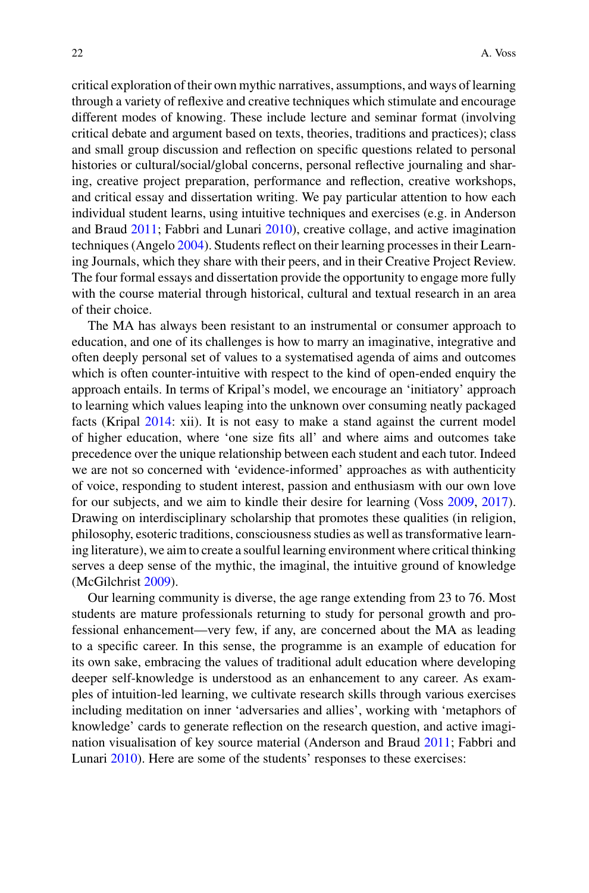critical exploration of their own mythic narratives, assumptions, and ways of learning through a variety of reflexive and creative techniques which stimulate and encourage different modes of knowing. These include lecture and seminar format (involving critical debate and argument based on texts, theories, traditions and practices); class and small group discussion and reflection on specific questions related to personal histories or cultural/social/global concerns, personal reflective journaling and sharing, creative project preparation, performance and reflection, creative workshops, and critical essay and dissertation writing. We pay particular attention to how each individual student learns, using intuitive techniques and exercises (e.g. in Anderson and Braud [2011;](#page-13-13) Fabbri and Lunari [2010\)](#page-13-14), creative collage, and active imagination techniques (Angelo [2004\)](#page-13-15). Students reflect on their learning processes in their Learning Journals, which they share with their peers, and in their Creative Project Review. The four formal essays and dissertation provide the opportunity to engage more fully with the course material through historical, cultural and textual research in an area of their choice.

The MA has always been resistant to an instrumental or consumer approach to education, and one of its challenges is how to marry an imaginative, integrative and often deeply personal set of values to a systematised agenda of aims and outcomes which is often counter-intuitive with respect to the kind of open-ended enquiry the approach entails. In terms of Kripal's model, we encourage an 'initiatory' approach to learning which values leaping into the unknown over consuming neatly packaged facts (Kripal [2014:](#page-13-0) xii). It is not easy to make a stand against the current model of higher education, where 'one size fits all' and where aims and outcomes take precedence over the unique relationship between each student and each tutor. Indeed we are not so concerned with 'evidence-informed' approaches as with authenticity of voice, responding to student interest, passion and enthusiasm with our own love for our subjects, and we aim to kindle their desire for learning (Voss [2009,](#page-14-4) [2017\)](#page-14-5). Drawing on interdisciplinary scholarship that promotes these qualities (in religion, philosophy, esoteric traditions, consciousness studies as well as transformative learning literature), we aim to create a soulful learning environment where critical thinking serves a deep sense of the mythic, the imaginal, the intuitive ground of knowledge (McGilchrist [2009\)](#page-13-7).

Our learning community is diverse, the age range extending from 23 to 76. Most students are mature professionals returning to study for personal growth and professional enhancement—very few, if any, are concerned about the MA as leading to a specific career. In this sense, the programme is an example of education for its own sake, embracing the values of traditional adult education where developing deeper self-knowledge is understood as an enhancement to any career. As examples of intuition-led learning, we cultivate research skills through various exercises including meditation on inner 'adversaries and allies', working with 'metaphors of knowledge' cards to generate reflection on the research question, and active imagination visualisation of key source material (Anderson and Braud [2011;](#page-13-13) Fabbri and Lunari [2010\)](#page-13-14). Here are some of the students' responses to these exercises: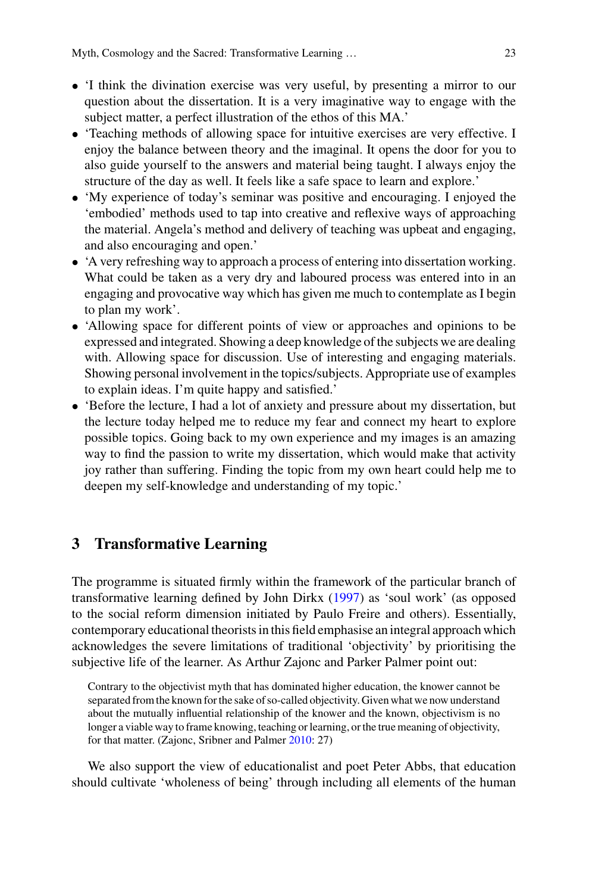- 'I think the divination exercise was very useful, by presenting a mirror to our question about the dissertation. It is a very imaginative way to engage with the subject matter, a perfect illustration of the ethos of this MA.'
- 'Teaching methods of allowing space for intuitive exercises are very effective. I enjoy the balance between theory and the imaginal. It opens the door for you to also guide yourself to the answers and material being taught. I always enjoy the structure of the day as well. It feels like a safe space to learn and explore.'
- 'My experience of today's seminar was positive and encouraging. I enjoyed the 'embodied' methods used to tap into creative and reflexive ways of approaching the material. Angela's method and delivery of teaching was upbeat and engaging, and also encouraging and open.'
- 'A very refreshing way to approach a process of entering into dissertation working. What could be taken as a very dry and laboured process was entered into in an engaging and provocative way which has given me much to contemplate as I begin to plan my work'.
- 'Allowing space for different points of view or approaches and opinions to be expressed and integrated. Showing a deep knowledge of the subjects we are dealing with. Allowing space for discussion. Use of interesting and engaging materials. Showing personal involvement in the topics/subjects. Appropriate use of examples to explain ideas. I'm quite happy and satisfied.'
- 'Before the lecture, I had a lot of anxiety and pressure about my dissertation, but the lecture today helped me to reduce my fear and connect my heart to explore possible topics. Going back to my own experience and my images is an amazing way to find the passion to write my dissertation, which would make that activity joy rather than suffering. Finding the topic from my own heart could help me to deepen my self-knowledge and understanding of my topic.'

### **3 Transformative Learning**

The programme is situated firmly within the framework of the particular branch of transformative learning defined by John Dirkx [\(1997\)](#page-13-10) as 'soul work' (as opposed to the social reform dimension initiated by Paulo Freire and others). Essentially, contemporary educational theorists in this field emphasise an integral approach which acknowledges the severe limitations of traditional 'objectivity' by prioritising the subjective life of the learner. As Arthur Zajonc and Parker Palmer point out:

Contrary to the objectivist myth that has dominated higher education, the knower cannot be separated from the known for the sake of so-called objectivity. Given what we now understand about the mutually influential relationship of the knower and the known, objectivism is no longer a viable way to frame knowing, teaching or learning, or the true meaning of objectivity, for that matter. (Zajonc, Sribner and Palmer [2010:](#page-14-6) 27)

We also support the view of educationalist and poet Peter Abbs, that education should cultivate 'wholeness of being' through including all elements of the human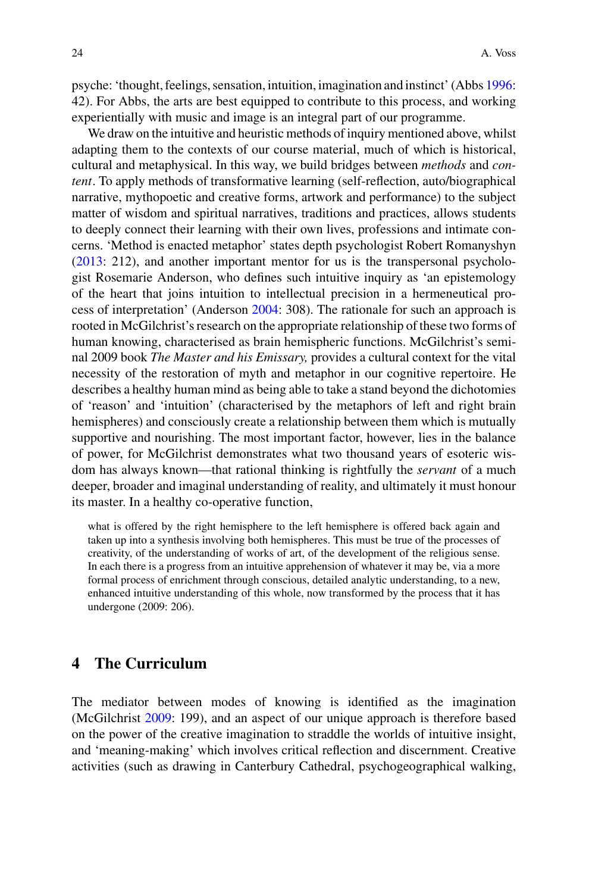psyche: 'thought, feelings, sensation, intuition, imagination and instinct' (Abbs [1996:](#page-13-16) 42). For Abbs, the arts are best equipped to contribute to this process, and working experientially with music and image is an integral part of our programme.

We draw on the intuitive and heuristic methods of inquiry mentioned above, whilst adapting them to the contexts of our course material, much of which is historical, cultural and metaphysical. In this way, we build bridges between *methods* and *content*. To apply methods of transformative learning (self-reflection, auto/biographical narrative, mythopoetic and creative forms, artwork and performance) to the subject matter of wisdom and spiritual narratives, traditions and practices, allows students to deeply connect their learning with their own lives, professions and intimate concerns. 'Method is enacted metaphor' states depth psychologist Robert Romanyshyn [\(2013:](#page-13-17) 212), and another important mentor for us is the transpersonal psychologist Rosemarie Anderson, who defines such intuitive inquiry as 'an epistemology of the heart that joins intuition to intellectual precision in a hermeneutical process of interpretation' (Anderson [2004:](#page-13-18) 308). The rationale for such an approach is rooted in McGilchrist's research on the appropriate relationship of these two forms of human knowing, characterised as brain hemispheric functions. McGilchrist's seminal 2009 book *The Master and his Emissary,* provides a cultural context for the vital necessity of the restoration of myth and metaphor in our cognitive repertoire. He describes a healthy human mind as being able to take a stand beyond the dichotomies of 'reason' and 'intuition' (characterised by the metaphors of left and right brain hemispheres) and consciously create a relationship between them which is mutually supportive and nourishing. The most important factor, however, lies in the balance of power, for McGilchrist demonstrates what two thousand years of esoteric wisdom has always known—that rational thinking is rightfully the *servant* of a much deeper, broader and imaginal understanding of reality, and ultimately it must honour its master. In a healthy co-operative function,

what is offered by the right hemisphere to the left hemisphere is offered back again and taken up into a synthesis involving both hemispheres. This must be true of the processes of creativity, of the understanding of works of art, of the development of the religious sense. In each there is a progress from an intuitive apprehension of whatever it may be, via a more formal process of enrichment through conscious, detailed analytic understanding, to a new, enhanced intuitive understanding of this whole, now transformed by the process that it has undergone (2009: 206).

#### **4 The Curriculum**

The mediator between modes of knowing is identified as the imagination (McGilchrist [2009:](#page-13-7) 199), and an aspect of our unique approach is therefore based on the power of the creative imagination to straddle the worlds of intuitive insight, and 'meaning-making' which involves critical reflection and discernment. Creative activities (such as drawing in Canterbury Cathedral, psychogeographical walking,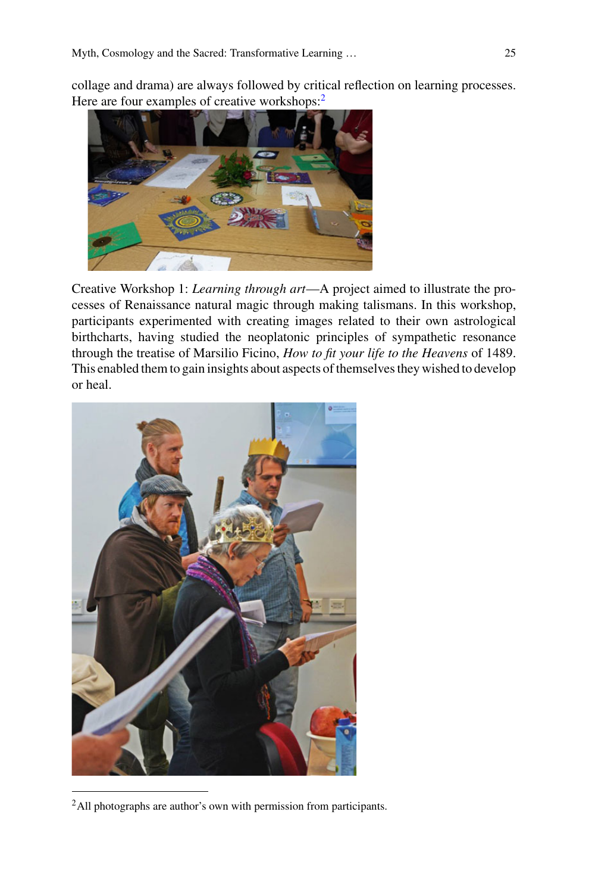collage and drama) are always followed by critical reflection on learning processes. Here are four examples of creative workshops:<sup>[2](#page-6-0)</sup>



Creative Workshop 1: *Learning through art*—A project aimed to illustrate the processes of Renaissance natural magic through making talismans. In this workshop, participants experimented with creating images related to their own astrological birthcharts, having studied the neoplatonic principles of sympathetic resonance through the treatise of Marsilio Ficino, *How to fit your life to the Heavens* of 1489. This enabled them to gain insights about aspects of themselves they wished to develop or heal.

<span id="page-6-0"></span>

<sup>&</sup>lt;sup>2</sup>All photographs are author's own with permission from participants.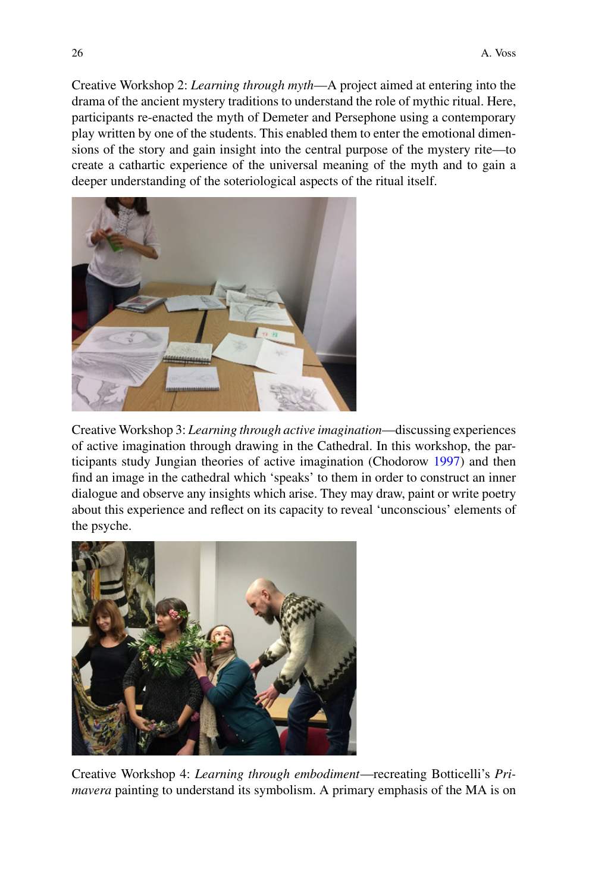Creative Workshop 2: *Learning through myth*—A project aimed at entering into the drama of the ancient mystery traditions to understand the role of mythic ritual. Here, participants re-enacted the myth of Demeter and Persephone using a contemporary play written by one of the students. This enabled them to enter the emotional dimensions of the story and gain insight into the central purpose of the mystery rite—to create a cathartic experience of the universal meaning of the myth and to gain a deeper understanding of the soteriological aspects of the ritual itself.



Creative Workshop 3: *Learning through active imagination*—discussing experiences of active imagination through drawing in the Cathedral. In this workshop, the participants study Jungian theories of active imagination (Chodorow [1997\)](#page-13-19) and then find an image in the cathedral which 'speaks' to them in order to construct an inner dialogue and observe any insights which arise. They may draw, paint or write poetry about this experience and reflect on its capacity to reveal 'unconscious' elements of the psyche.



Creative Workshop 4: *Learning through embodiment*—recreating Botticelli's *Primavera* painting to understand its symbolism. A primary emphasis of the MA is on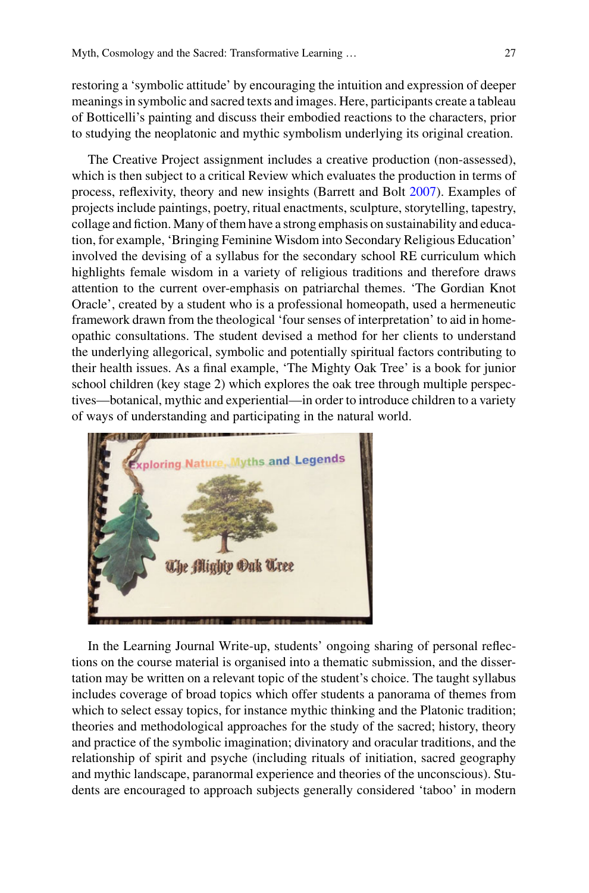restoring a 'symbolic attitude' by encouraging the intuition and expression of deeper meanings in symbolic and sacred texts and images. Here, participants create a tableau of Botticelli's painting and discuss their embodied reactions to the characters, prior to studying the neoplatonic and mythic symbolism underlying its original creation.

The Creative Project assignment includes a creative production (non-assessed), which is then subject to a critical Review which evaluates the production in terms of process, reflexivity, theory and new insights (Barrett and Bolt [2007\)](#page-13-20). Examples of projects include paintings, poetry, ritual enactments, sculpture, storytelling, tapestry, collage and fiction. Many of them have a strong emphasis on sustainability and education, for example, 'Bringing Feminine Wisdom into Secondary Religious Education' involved the devising of a syllabus for the secondary school RE curriculum which highlights female wisdom in a variety of religious traditions and therefore draws attention to the current over-emphasis on patriarchal themes. 'The Gordian Knot Oracle', created by a student who is a professional homeopath, used a hermeneutic framework drawn from the theological 'four senses of interpretation' to aid in homeopathic consultations. The student devised a method for her clients to understand the underlying allegorical, symbolic and potentially spiritual factors contributing to their health issues. As a final example, 'The Mighty Oak Tree' is a book for junior school children (key stage 2) which explores the oak tree through multiple perspectives—botanical, mythic and experiential—in order to introduce children to a variety of ways of understanding and participating in the natural world.



In the Learning Journal Write-up, students' ongoing sharing of personal reflections on the course material is organised into a thematic submission, and the dissertation may be written on a relevant topic of the student's choice. The taught syllabus includes coverage of broad topics which offer students a panorama of themes from which to select essay topics, for instance mythic thinking and the Platonic tradition; theories and methodological approaches for the study of the sacred; history, theory and practice of the symbolic imagination; divinatory and oracular traditions, and the relationship of spirit and psyche (including rituals of initiation, sacred geography and mythic landscape, paranormal experience and theories of the unconscious). Students are encouraged to approach subjects generally considered 'taboo' in modern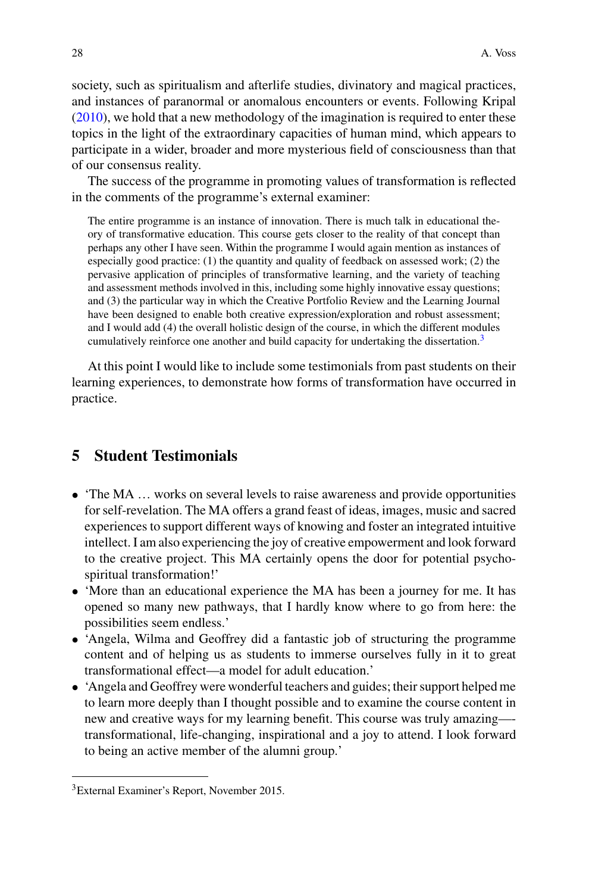society, such as spiritualism and afterlife studies, divinatory and magical practices, and instances of paranormal or anomalous encounters or events. Following Kripal [\(2010\)](#page-13-21), we hold that a new methodology of the imagination is required to enter these topics in the light of the extraordinary capacities of human mind, which appears to participate in a wider, broader and more mysterious field of consciousness than that of our consensus reality.

The success of the programme in promoting values of transformation is reflected in the comments of the programme's external examiner:

The entire programme is an instance of innovation. There is much talk in educational theory of transformative education. This course gets closer to the reality of that concept than perhaps any other I have seen. Within the programme I would again mention as instances of especially good practice: (1) the quantity and quality of feedback on assessed work; (2) the pervasive application of principles of transformative learning, and the variety of teaching and assessment methods involved in this, including some highly innovative essay questions; and (3) the particular way in which the Creative Portfolio Review and the Learning Journal have been designed to enable both creative expression/exploration and robust assessment; and I would add (4) the overall holistic design of the course, in which the different modules cumulatively reinforce one another and build capacity for undertaking the dissertation.<sup>[3](#page-9-0)</sup>

At this point I would like to include some testimonials from past students on their learning experiences, to demonstrate how forms of transformation have occurred in practice.

## **5 Student Testimonials**

- The MA ... works on several levels to raise awareness and provide opportunities for self-revelation. The MA offers a grand feast of ideas, images, music and sacred experiences to support different ways of knowing and foster an integrated intuitive intellect. I am also experiencing the joy of creative empowerment and look forward to the creative project. This MA certainly opens the door for potential psychospiritual transformation!'
- 'More than an educational experience the MA has been a journey for me. It has opened so many new pathways, that I hardly know where to go from here: the possibilities seem endless.'
- 'Angela, Wilma and Geoffrey did a fantastic job of structuring the programme content and of helping us as students to immerse ourselves fully in it to great transformational effect—a model for adult education.'
- 'Angela and Geoffrey were wonderful teachers and guides; their support helped me to learn more deeply than I thought possible and to examine the course content in new and creative ways for my learning benefit. This course was truly amazing— transformational, life-changing, inspirational and a joy to attend. I look forward to being an active member of the alumni group.'

<span id="page-9-0"></span><sup>3</sup>External Examiner's Report, November 2015.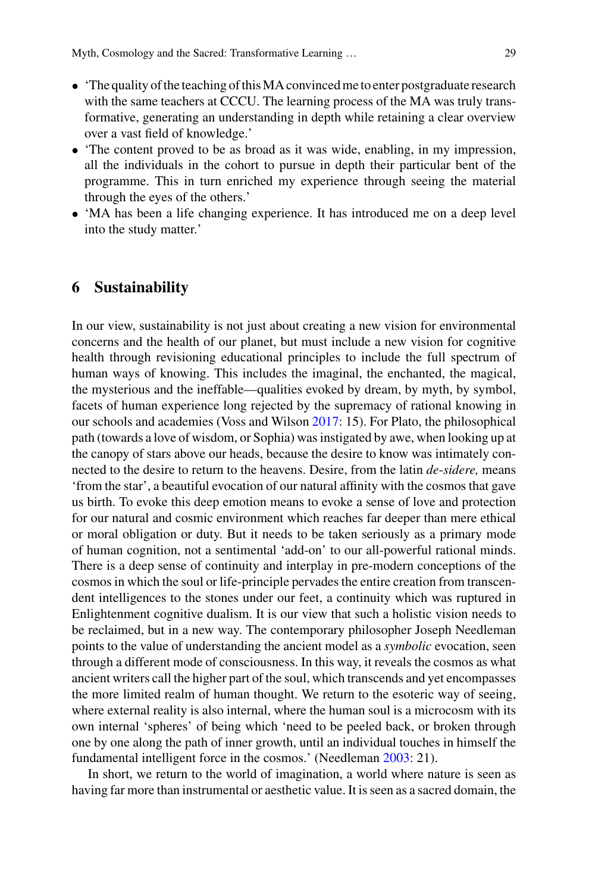- The quality of the teaching of this MA convinced me to enter postgraduate research with the same teachers at CCCU. The learning process of the MA was truly transformative, generating an understanding in depth while retaining a clear overview over a vast field of knowledge.'
- The content proved to be as broad as it was wide, enabling, in my impression, all the individuals in the cohort to pursue in depth their particular bent of the programme. This in turn enriched my experience through seeing the material through the eyes of the others.'
- 'MA has been a life changing experience. It has introduced me on a deep level into the study matter.'

#### **6 Sustainability**

In our view, sustainability is not just about creating a new vision for environmental concerns and the health of our planet, but must include a new vision for cognitive health through revisioning educational principles to include the full spectrum of human ways of knowing. This includes the imaginal, the enchanted, the magical, the mysterious and the ineffable—qualities evoked by dream, by myth, by symbol, facets of human experience long rejected by the supremacy of rational knowing in our schools and academies (Voss and Wilson [2017:](#page-14-1) 15). For Plato, the philosophical path (towards a love of wisdom, or Sophia) was instigated by awe, when looking up at the canopy of stars above our heads, because the desire to know was intimately connected to the desire to return to the heavens. Desire, from the latin *de*-*sidere,* means 'from the star', a beautiful evocation of our natural affinity with the cosmos that gave us birth. To evoke this deep emotion means to evoke a sense of love and protection for our natural and cosmic environment which reaches far deeper than mere ethical or moral obligation or duty. But it needs to be taken seriously as a primary mode of human cognition, not a sentimental 'add-on' to our all-powerful rational minds. There is a deep sense of continuity and interplay in pre-modern conceptions of the cosmos in which the soul or life-principle pervades the entire creation from transcendent intelligences to the stones under our feet, a continuity which was ruptured in Enlightenment cognitive dualism. It is our view that such a holistic vision needs to be reclaimed, but in a new way. The contemporary philosopher Joseph Needleman points to the value of understanding the ancient model as a *symbolic* evocation, seen through a different mode of consciousness. In this way, it reveals the cosmos as what ancient writers call the higher part of the soul, which transcends and yet encompasses the more limited realm of human thought. We return to the esoteric way of seeing, where external reality is also internal, where the human soul is a microcosm with its own internal 'spheres' of being which 'need to be peeled back, or broken through one by one along the path of inner growth, until an individual touches in himself the fundamental intelligent force in the cosmos.' (Needleman [2003:](#page-13-22) 21).

In short, we return to the world of imagination, a world where nature is seen as having far more than instrumental or aesthetic value. It is seen as a sacred domain, the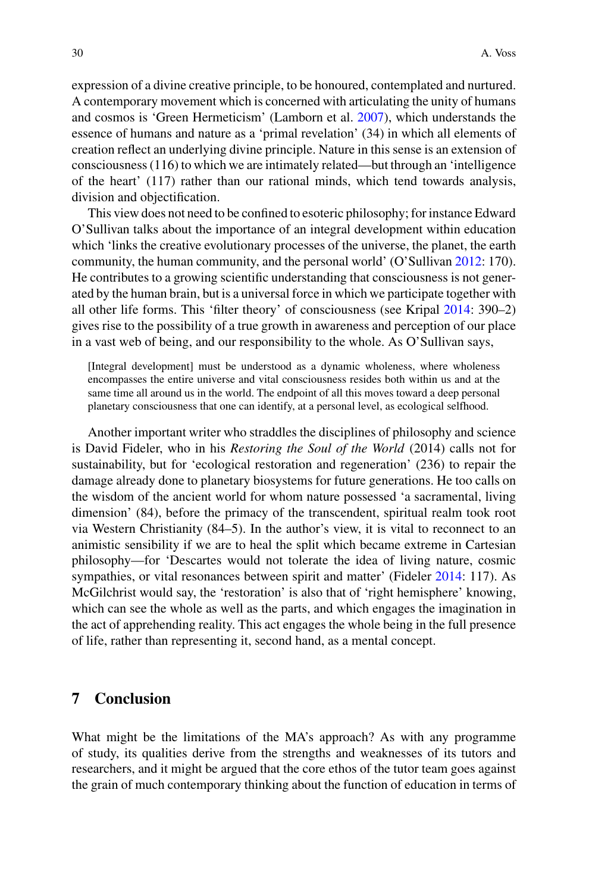expression of a divine creative principle, to be honoured, contemplated and nurtured. A contemporary movement which is concerned with articulating the unity of humans and cosmos is 'Green Hermeticism' (Lamborn et al. [2007\)](#page-13-23), which understands the essence of humans and nature as a 'primal revelation' (34) in which all elements of creation reflect an underlying divine principle. Nature in this sense is an extension of consciousness (116) to which we are intimately related—but through an 'intelligence of the heart' (117) rather than our rational minds, which tend towards analysis, division and objectification.

This view does not need to be confined to esoteric philosophy; for instance Edward O'Sullivan talks about the importance of an integral development within education which 'links the creative evolutionary processes of the universe, the planet, the earth community, the human community, and the personal world' (O'Sullivan [2012:](#page-13-2) 170). He contributes to a growing scientific understanding that consciousness is not generated by the human brain, but is a universal force in which we participate together with all other life forms. This 'filter theory' of consciousness (see Kripal [2014:](#page-13-0) 390–2) gives rise to the possibility of a true growth in awareness and perception of our place in a vast web of being, and our responsibility to the whole. As O'Sullivan says,

[Integral development] must be understood as a dynamic wholeness, where wholeness encompasses the entire universe and vital consciousness resides both within us and at the same time all around us in the world. The endpoint of all this moves toward a deep personal planetary consciousness that one can identify, at a personal level, as ecological selfhood.

Another important writer who straddles the disciplines of philosophy and science is David Fideler, who in his *Restoring the Soul of the World* (2014) calls not for sustainability, but for 'ecological restoration and regeneration' (236) to repair the damage already done to planetary biosystems for future generations. He too calls on the wisdom of the ancient world for whom nature possessed 'a sacramental, living dimension' (84), before the primacy of the transcendent, spiritual realm took root via Western Christianity (84–5). In the author's view, it is vital to reconnect to an animistic sensibility if we are to heal the split which became extreme in Cartesian philosophy—for 'Descartes would not tolerate the idea of living nature, cosmic sympathies, or vital resonances between spirit and matter' (Fideler [2014:](#page-13-24) 117). As McGilchrist would say, the 'restoration' is also that of 'right hemisphere' knowing, which can see the whole as well as the parts, and which engages the imagination in the act of apprehending reality. This act engages the whole being in the full presence of life, rather than representing it, second hand, as a mental concept.

#### **7 Conclusion**

What might be the limitations of the MA's approach? As with any programme of study, its qualities derive from the strengths and weaknesses of its tutors and researchers, and it might be argued that the core ethos of the tutor team goes against the grain of much contemporary thinking about the function of education in terms of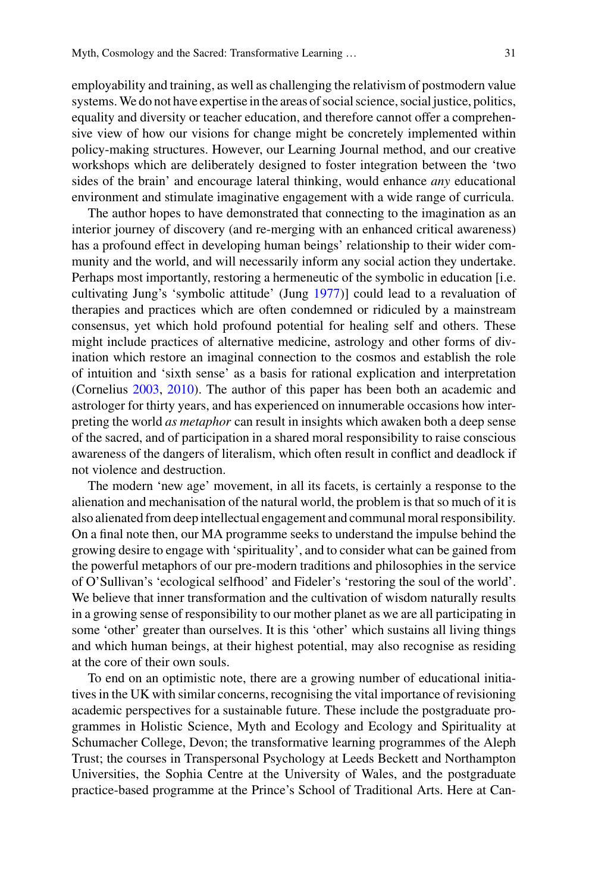employability and training, as well as challenging the relativism of postmodern value systems.We do not have expertise in the areas of social science, social justice, politics, equality and diversity or teacher education, and therefore cannot offer a comprehensive view of how our visions for change might be concretely implemented within policy-making structures. However, our Learning Journal method, and our creative workshops which are deliberately designed to foster integration between the 'two sides of the brain' and encourage lateral thinking, would enhance *any* educational environment and stimulate imaginative engagement with a wide range of curricula.

The author hopes to have demonstrated that connecting to the imagination as an interior journey of discovery (and re-merging with an enhanced critical awareness) has a profound effect in developing human beings' relationship to their wider community and the world, and will necessarily inform any social action they undertake. Perhaps most importantly, restoring a hermeneutic of the symbolic in education [i.e. cultivating Jung's 'symbolic attitude' (Jung [1977\)](#page-13-25)] could lead to a revaluation of therapies and practices which are often condemned or ridiculed by a mainstream consensus, yet which hold profound potential for healing self and others. These might include practices of alternative medicine, astrology and other forms of divination which restore an imaginal connection to the cosmos and establish the role of intuition and 'sixth sense' as a basis for rational explication and interpretation (Cornelius [2003,](#page-13-26) [2010\)](#page-13-27). The author of this paper has been both an academic and astrologer for thirty years, and has experienced on innumerable occasions how interpreting the world *as metaphor* can result in insights which awaken both a deep sense of the sacred, and of participation in a shared moral responsibility to raise conscious awareness of the dangers of literalism, which often result in conflict and deadlock if not violence and destruction.

The modern 'new age' movement, in all its facets, is certainly a response to the alienation and mechanisation of the natural world, the problem is that so much of it is also alienated from deep intellectual engagement and communal moral responsibility. On a final note then, our MA programme seeks to understand the impulse behind the growing desire to engage with 'spirituality', and to consider what can be gained from the powerful metaphors of our pre-modern traditions and philosophies in the service of O'Sullivan's 'ecological selfhood' and Fideler's 'restoring the soul of the world'. We believe that inner transformation and the cultivation of wisdom naturally results in a growing sense of responsibility to our mother planet as we are all participating in some 'other' greater than ourselves. It is this 'other' which sustains all living things and which human beings, at their highest potential, may also recognise as residing at the core of their own souls.

To end on an optimistic note, there are a growing number of educational initiatives in the UK with similar concerns, recognising the vital importance of revisioning academic perspectives for a sustainable future. These include the postgraduate programmes in Holistic Science, Myth and Ecology and Ecology and Spirituality at Schumacher College, Devon; the transformative learning programmes of the Aleph Trust; the courses in Transpersonal Psychology at Leeds Beckett and Northampton Universities, the Sophia Centre at the University of Wales, and the postgraduate practice-based programme at the Prince's School of Traditional Arts. Here at Can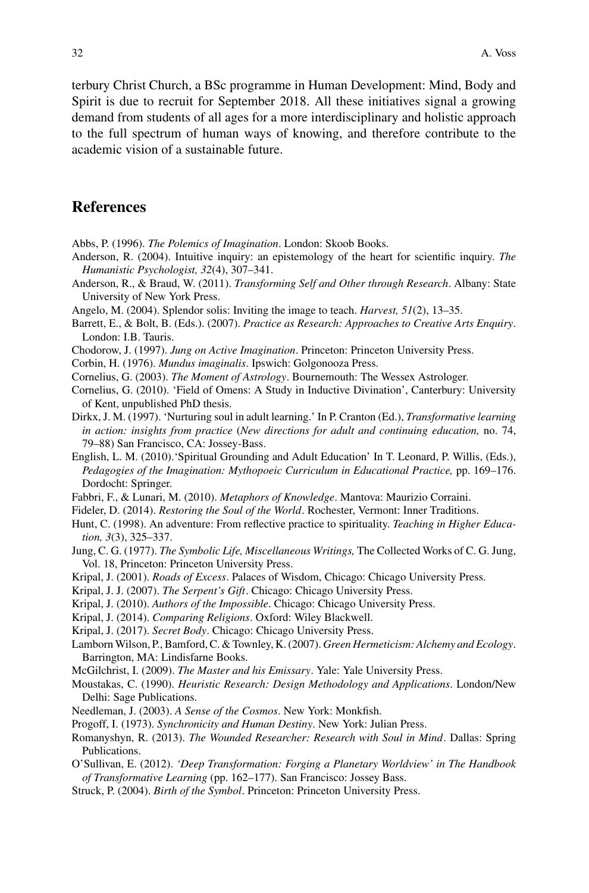terbury Christ Church, a BSc programme in Human Development: Mind, Body and Spirit is due to recruit for September 2018. All these initiatives signal a growing demand from students of all ages for a more interdisciplinary and holistic approach to the full spectrum of human ways of knowing, and therefore contribute to the academic vision of a sustainable future.

#### **References**

- <span id="page-13-16"></span>Abbs, P. (1996). *The Polemics of Imagination*. London: Skoob Books.
- <span id="page-13-18"></span>Anderson, R. (2004). Intuitive inquiry: an epistemology of the heart for scientific inquiry. *The Humanistic Psychologist, 32*(4), 307–341.
- <span id="page-13-13"></span>Anderson, R., & Braud, W. (2011). *Transforming Self and Other through Research*. Albany: State University of New York Press.
- <span id="page-13-15"></span>Angelo, M. (2004). Splendor solis: Inviting the image to teach. *Harvest, 51*(2), 13–35.
- <span id="page-13-20"></span>Barrett, E., & Bolt, B. (Eds.). (2007). *Practice as Research: Approaches to Creative Arts Enquiry*. London: I.B. Tauris.
- <span id="page-13-19"></span>Chodorow, J. (1997). *Jung on Active Imagination*. Princeton: Princeton University Press.
- <span id="page-13-6"></span>Corbin, H. (1976). *Mundus imaginalis*. Ipswich: Golgonooza Press.
- <span id="page-13-26"></span>Cornelius, G. (2003). *The Moment of Astrology*. Bournemouth: The Wessex Astrologer.
- <span id="page-13-27"></span>Cornelius, G. (2010). 'Field of Omens: A Study in Inductive Divination', Canterbury: University of Kent, unpublished PhD thesis.
- <span id="page-13-10"></span>Dirkx, J. M. (1997). 'Nurturing soul in adult learning.' In P. Cranton (Ed.), *Transformative learning in action: insights from practice* (*New directions for adult and continuing education,* no. 74, 79–88) San Francisco, CA: Jossey-Bass.
- <span id="page-13-9"></span>English, L. M. (2010).'Spiritual Grounding and Adult Education' In T. Leonard, P. Willis, (Eds.), *Pedagogies of the Imagination: Mythopoeic Curriculum in Educational Practice,* pp. 169–176. Dordocht: Springer.
- <span id="page-13-14"></span>Fabbri, F., & Lunari, M. (2010). *Metaphors of Knowledge*. Mantova: Maurizio Corraini.
- <span id="page-13-24"></span>Fideler, D. (2014). *Restoring the Soul of the World*. Rochester, Vermont: Inner Traditions.
- <span id="page-13-11"></span>Hunt, C. (1998). An adventure: From reflective practice to spirituality. *Teaching in Higher Education, 3*(3), 325–337.
- <span id="page-13-25"></span>Jung, C. G. (1977). *The Symbolic Life, Miscellaneous Writings,* The Collected Works of C. G. Jung, Vol. 18, Princeton: Princeton University Press.
- <span id="page-13-4"></span>Kripal, J. (2001). *Roads of Excess*. Palaces of Wisdom, Chicago: Chicago University Press.
- <span id="page-13-3"></span>Kripal, J. J. (2007). *The Serpent's Gift*. Chicago: Chicago University Press.
- <span id="page-13-21"></span>Kripal, J. (2010). *Authors of the Impossible*. Chicago: Chicago University Press.
- <span id="page-13-0"></span>Kripal, J. (2014). *Comparing Religions*. Oxford: Wiley Blackwell.
- <span id="page-13-1"></span>Kripal, J. (2017). *Secret Body*. Chicago: Chicago University Press.
- <span id="page-13-23"></span>Lamborn Wilson, P., Bamford, C. & Townley, K. (2007). *Green Hermeticism: Alchemy and Ecology*. Barrington, MA: Lindisfarne Books.
- <span id="page-13-7"></span>McGilchrist, I. (2009). *The Master and his Emissary*. Yale: Yale University Press.
- <span id="page-13-12"></span>Moustakas, C. (1990). *Heuristic Research: Design Methodology and Applications*. London/New Delhi: Sage Publications.
- <span id="page-13-22"></span>Needleman, J. (2003). *A Sense of the Cosmos*. New York: Monkfish.
- <span id="page-13-5"></span>Progoff, I. (1973). *Synchronicity and Human Destiny*. New York: Julian Press.
- <span id="page-13-17"></span>Romanyshyn, R. (2013). *The Wounded Researcher: Research with Soul in Mind*. Dallas: Spring Publications.
- <span id="page-13-2"></span>O'Sullivan, E. (2012). *'Deep Transformation: Forging a Planetary Worldview' in The Handbook of Transformative Learning* (pp. 162–177). San Francisco: Jossey Bass.
- <span id="page-13-8"></span>Struck, P. (2004). *Birth of the Symbol*. Princeton: Princeton University Press.